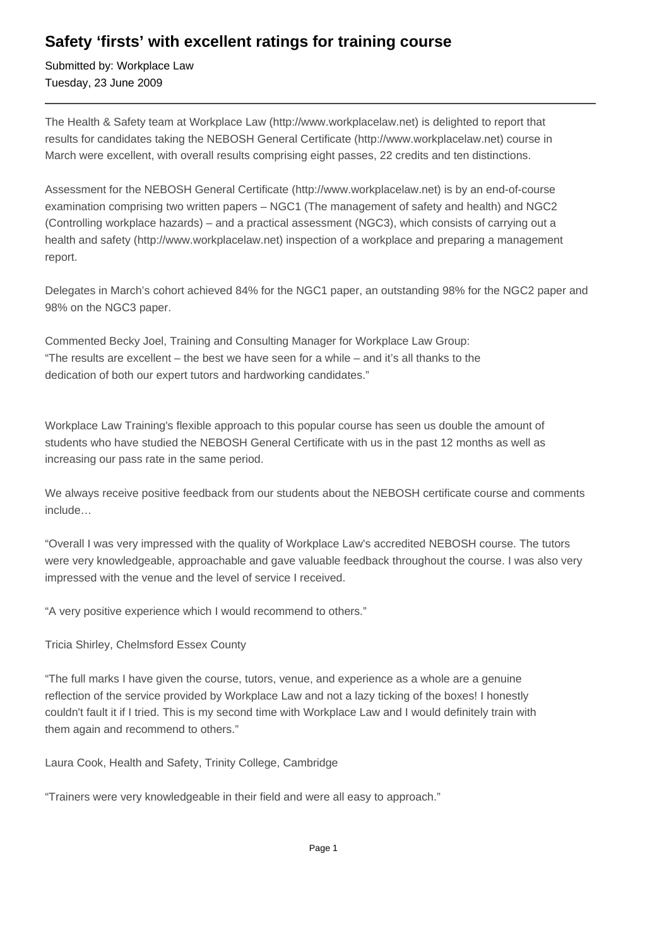## **Safety 'firsts' with excellent ratings for training course**

Submitted by: Workplace Law Tuesday, 23 June 2009

The Health & Safety team at Workplace Law (http://www.workplacelaw.net) is delighted to report that results for candidates taking the NEBOSH General Certificate (http://www.workplacelaw.net) course in March were excellent, with overall results comprising eight passes, 22 credits and ten distinctions.

Assessment for the NEBOSH General Certificate (http://www.workplacelaw.net) is by an end-of-course examination comprising two written papers – NGC1 (The management of safety and health) and NGC2 (Controlling workplace hazards) – and a practical assessment (NGC3), which consists of carrying out a health and safety (http://www.workplacelaw.net) inspection of a workplace and preparing a management report.

Delegates in March's cohort achieved 84% for the NGC1 paper, an outstanding 98% for the NGC2 paper and 98% on the NGC3 paper.

Commented Becky Joel, Training and Consulting Manager for Workplace Law Group: "The results are excellent – the best we have seen for a while – and it's all thanks to the dedication of both our expert tutors and hardworking candidates."

Workplace Law Training's flexible approach to this popular course has seen us double the amount of students who have studied the NEBOSH General Certificate with us in the past 12 months as well as increasing our pass rate in the same period.

We always receive positive feedback from our students about the NEBOSH certificate course and comments include…

"Overall I was very impressed with the quality of Workplace Law's accredited NEBOSH course. The tutors were very knowledgeable, approachable and gave valuable feedback throughout the course. I was also very impressed with the venue and the level of service I received.

"A very positive experience which I would recommend to others."

Tricia Shirley, Chelmsford Essex County

"The full marks I have given the course, tutors, venue, and experience as a whole are a genuine reflection of the service provided by Workplace Law and not a lazy ticking of the boxes! I honestly couldn't fault it if I tried. This is my second time with Workplace Law and I would definitely train with them again and recommend to others."

Laura Cook, Health and Safety, Trinity College, Cambridge

"Trainers were very knowledgeable in their field and were all easy to approach."